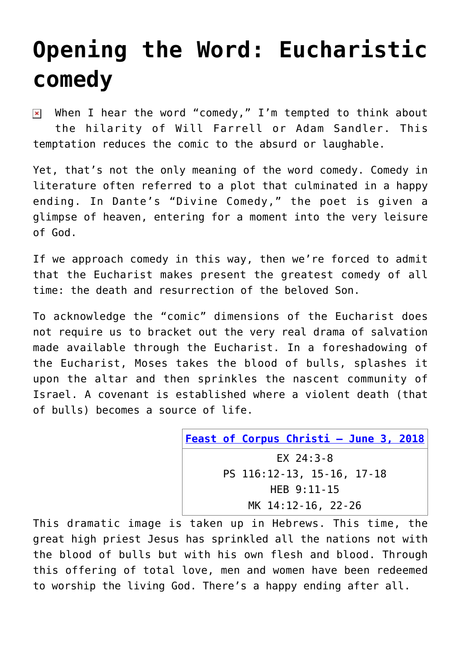## **[Opening the Word: Eucharistic](https://www.osvnews.com/2018/06/03/opening-the-word-eucharistic-comedy/) [comedy](https://www.osvnews.com/2018/06/03/opening-the-word-eucharistic-comedy/)**

When I hear the word "comedy," I'm tempted to think about  $\pmb{\times}$ the hilarity of Will Farrell or Adam Sandler. This temptation reduces the comic to the absurd or laughable.

Yet, that's not the only meaning of the word comedy. Comedy in literature often referred to a plot that culminated in a happy ending. In Dante's "Divine Comedy," the poet is given a glimpse of heaven, entering for a moment into the very leisure of God.

If we approach comedy in this way, then we're forced to admit that the Eucharist makes present the greatest comedy of all time: the death and resurrection of the beloved Son.

To acknowledge the "comic" dimensions of the Eucharist does not require us to bracket out the very real drama of salvation made available through the Eucharist. In a foreshadowing of the Eucharist, Moses takes the blood of bulls, splashes it upon the altar and then sprinkles the nascent community of Israel. A covenant is established where a violent death (that of bulls) becomes a source of life.

| <b>Feast of Corpus Christi - June 3, 2018</b> |
|-----------------------------------------------|
| EX $24:3-8$                                   |
| PS 116:12-13, 15-16, 17-18                    |
| $HEB$ 9:11-15                                 |
| MK 14:12-16, 22-26                            |

This dramatic image is taken up in Hebrews. This time, the great high priest Jesus has sprinkled all the nations not with the blood of bulls but with his own flesh and blood. Through this offering of total love, men and women have been redeemed to worship the living God. There's a happy ending after all.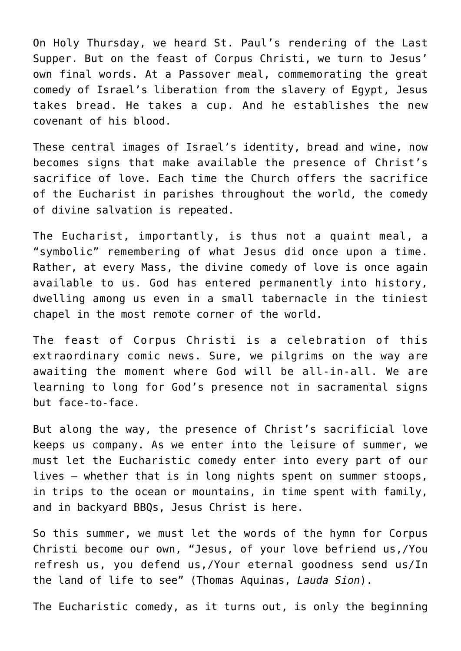On Holy Thursday, we heard St. Paul's rendering of the Last Supper. But on the feast of Corpus Christi, we turn to Jesus' own final words. At a Passover meal, commemorating the great comedy of Israel's liberation from the slavery of Egypt, Jesus takes bread. He takes a cup. And he establishes the new covenant of his blood.

These central images of Israel's identity, bread and wine, now becomes signs that make available the presence of Christ's sacrifice of love. Each time the Church offers the sacrifice of the Eucharist in parishes throughout the world, the comedy of divine salvation is repeated.

The Eucharist, importantly, is thus not a quaint meal, a "symbolic" remembering of what Jesus did once upon a time. Rather, at every Mass, the divine comedy of love is once again available to us. God has entered permanently into history, dwelling among us even in a small tabernacle in the tiniest chapel in the most remote corner of the world.

The feast of Corpus Christi is a celebration of this extraordinary comic news. Sure, we pilgrims on the way are awaiting the moment where God will be all-in-all. We are learning to long for God's presence not in sacramental signs but face-to-face.

But along the way, the presence of Christ's sacrificial love keeps us company. As we enter into the leisure of summer, we must let the Eucharistic comedy enter into every part of our lives — whether that is in long nights spent on summer stoops, in trips to the ocean or mountains, in time spent with family, and in backyard BBQs, Jesus Christ is here.

So this summer, we must let the words of the hymn for Corpus Christi become our own, "Jesus, of your love befriend us,/You refresh us, you defend us,/Your eternal goodness send us/In the land of life to see" (Thomas Aquinas, *Lauda Sion*).

The Eucharistic comedy, as it turns out, is only the beginning